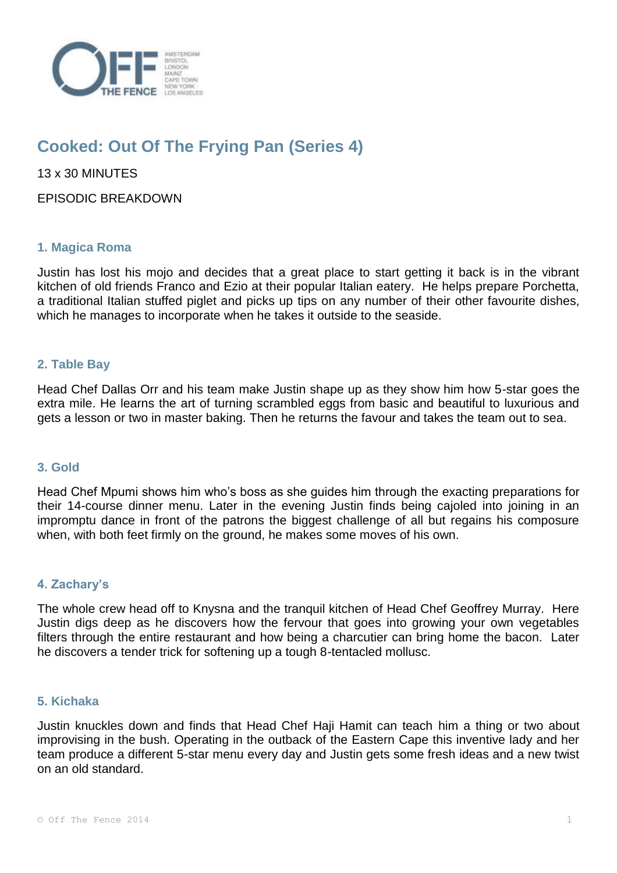

# **Cooked: Out Of The Frying Pan (Series 4)**

13 x 30 MINUTES

EPISODIC BREAKDOWN

# **1. Magica Roma**

Justin has lost his mojo and decides that a great place to start getting it back is in the vibrant kitchen of old friends Franco and Ezio at their popular Italian eatery. He helps prepare Porchetta, a traditional Italian stuffed piglet and picks up tips on any number of their other favourite dishes, which he manages to incorporate when he takes it outside to the seaside.

# **2. Table Bay**

Head Chef Dallas Orr and his team make Justin shape up as they show him how 5-star goes the extra mile. He learns the art of turning scrambled eggs from basic and beautiful to luxurious and gets a lesson or two in master baking. Then he returns the favour and takes the team out to sea.

## **3. Gold**

Head Chef Mpumi shows him who's boss as she guides him through the exacting preparations for their 14-course dinner menu. Later in the evening Justin finds being cajoled into joining in an impromptu dance in front of the patrons the biggest challenge of all but regains his composure when, with both feet firmly on the ground, he makes some moves of his own.

## **4. Zachary's**

The whole crew head off to Knysna and the tranquil kitchen of Head Chef Geoffrey Murray. Here Justin digs deep as he discovers how the fervour that goes into growing your own vegetables filters through the entire restaurant and how being a charcutier can bring home the bacon. Later he discovers a tender trick for softening up a tough 8-tentacled mollusc.

## **5. Kichaka**

Justin knuckles down and finds that Head Chef Haji Hamit can teach him a thing or two about improvising in the bush. Operating in the outback of the Eastern Cape this inventive lady and her team produce a different 5-star menu every day and Justin gets some fresh ideas and a new twist on an old standard.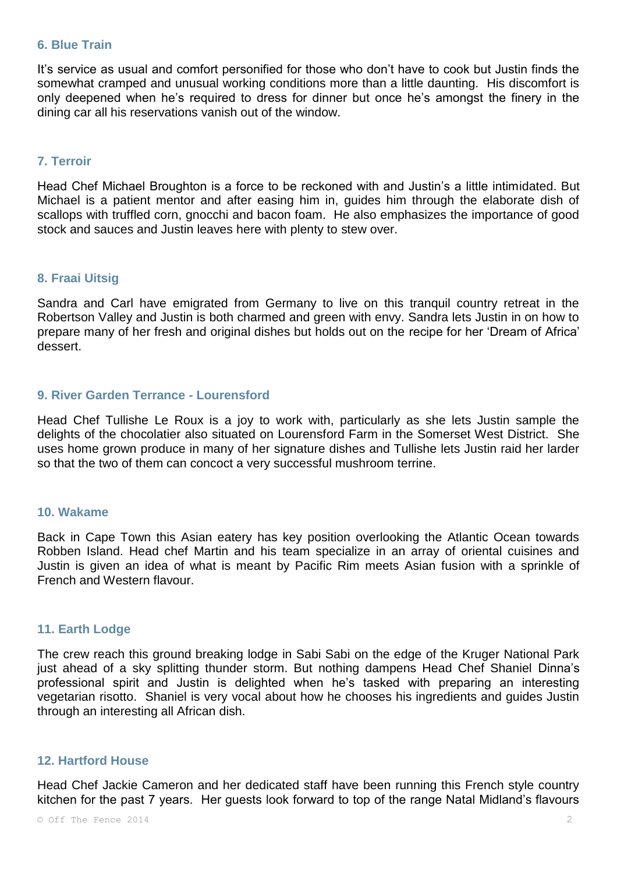#### **6. Blue Train**

It's service as usual and comfort personified for those who don't have to cook but Justin finds the somewhat cramped and unusual working conditions more than a little daunting. His discomfort is only deepened when he's required to dress for dinner but once he's amongst the finery in the dining car all his reservations vanish out of the window.

# **7. Terroir**

Head Chef Michael Broughton is a force to be reckoned with and Justin's a little intimidated. But Michael is a patient mentor and after easing him in, guides him through the elaborate dish of scallops with truffled corn, gnocchi and bacon foam. He also emphasizes the importance of good stock and sauces and Justin leaves here with plenty to stew over.

## **8. Fraai Uitsig**

Sandra and Carl have emigrated from Germany to live on this tranquil country retreat in the Robertson Valley and Justin is both charmed and green with envy. Sandra lets Justin in on how to prepare many of her fresh and original dishes but holds out on the recipe for her 'Dream of Africa' dessert.

## **9. River Garden Terrance - Lourensford**

Head Chef Tullishe Le Roux is a joy to work with, particularly as she lets Justin sample the delights of the chocolatier also situated on Lourensford Farm in the Somerset West District. She uses home grown produce in many of her signature dishes and Tullishe lets Justin raid her larder so that the two of them can concoct a very successful mushroom terrine.

#### **10. Wakame**

Back in Cape Town this Asian eatery has key position overlooking the Atlantic Ocean towards Robben Island. Head chef Martin and his team specialize in an array of oriental cuisines and Justin is given an idea of what is meant by Pacific Rim meets Asian fusion with a sprinkle of French and Western flavour.

#### **11. Earth Lodge**

The crew reach this ground breaking lodge in Sabi Sabi on the edge of the Kruger National Park just ahead of a sky splitting thunder storm. But nothing dampens Head Chef Shaniel Dinna's professional spirit and Justin is delighted when he's tasked with preparing an interesting vegetarian risotto. Shaniel is very vocal about how he chooses his ingredients and guides Justin through an interesting all African dish.

#### **12. Hartford House**

Head Chef Jackie Cameron and her dedicated staff have been running this French style country kitchen for the past 7 years. Her guests look forward to top of the range Natal Midland's flavours